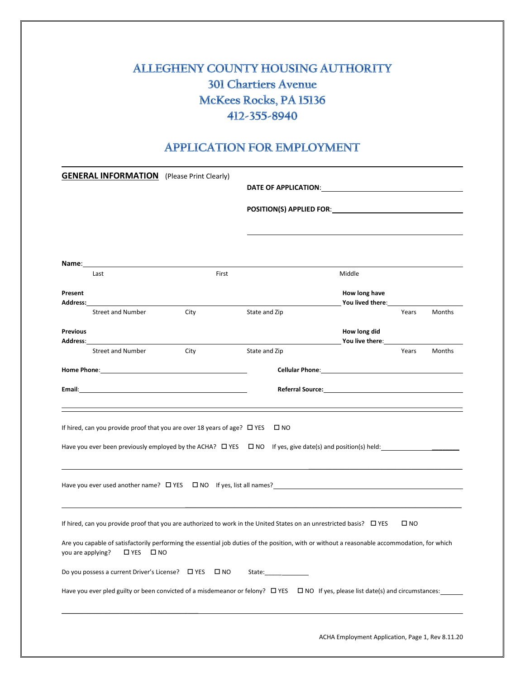# **ALLEGHENY COUNTY HOUSING AUTHORITY 301 Chartiers Avenue** McKees Rocks, PA 15136 412-355-8940

## **APPLICATION FOR EMPLOYMENT**

|                                                                                                                                                                              | <b>GENERAL INFORMATION</b> (Please Print Clearly)                                                                                                                                                                              |                                                                               |                                                |                                                                                                                                                                                                                                                |       |        |
|------------------------------------------------------------------------------------------------------------------------------------------------------------------------------|--------------------------------------------------------------------------------------------------------------------------------------------------------------------------------------------------------------------------------|-------------------------------------------------------------------------------|------------------------------------------------|------------------------------------------------------------------------------------------------------------------------------------------------------------------------------------------------------------------------------------------------|-------|--------|
|                                                                                                                                                                              |                                                                                                                                                                                                                                |                                                                               | DATE OF APPLICATION: University of APPLICATION |                                                                                                                                                                                                                                                |       |        |
|                                                                                                                                                                              |                                                                                                                                                                                                                                |                                                                               |                                                |                                                                                                                                                                                                                                                |       |        |
|                                                                                                                                                                              |                                                                                                                                                                                                                                |                                                                               |                                                |                                                                                                                                                                                                                                                |       |        |
|                                                                                                                                                                              |                                                                                                                                                                                                                                |                                                                               |                                                |                                                                                                                                                                                                                                                |       |        |
| <u>Name:___________</u>                                                                                                                                                      |                                                                                                                                                                                                                                |                                                                               |                                                |                                                                                                                                                                                                                                                |       |        |
|                                                                                                                                                                              | Last                                                                                                                                                                                                                           | First                                                                         |                                                | Middle                                                                                                                                                                                                                                         |       |        |
| Present                                                                                                                                                                      | Address: <b>Address</b>                                                                                                                                                                                                        |                                                                               |                                                | How long have<br>You lived there: Note that the set of the set of the set of the set of the set of the set of the set of the set of the set of the set of the set of the set of the set of the set of the set of the set of the set of the set |       |        |
|                                                                                                                                                                              | <b>Street and Number</b>                                                                                                                                                                                                       | City                                                                          | State and Zip                                  |                                                                                                                                                                                                                                                | Years | Months |
| <b>Previous</b>                                                                                                                                                              | Address: the contract of the contract of the contract of the contract of the contract of the contract of the contract of the contract of the contract of the contract of the contract of the contract of the contract of the c |                                                                               |                                                | How long did<br>You live there: ___________                                                                                                                                                                                                    |       |        |
|                                                                                                                                                                              | <b>Street and Number</b>                                                                                                                                                                                                       | City                                                                          | State and Zip                                  |                                                                                                                                                                                                                                                | Years | Months |
|                                                                                                                                                                              |                                                                                                                                                                                                                                |                                                                               |                                                | Cellular Phone: <u>contract and a series of the series of the series of the series of the series of the series of the series of the series of the series of the series of the series of the series of the series of the series o</u>           |       |        |
|                                                                                                                                                                              |                                                                                                                                                                                                                                |                                                                               |                                                |                                                                                                                                                                                                                                                |       |        |
|                                                                                                                                                                              |                                                                                                                                                                                                                                |                                                                               |                                                |                                                                                                                                                                                                                                                |       |        |
|                                                                                                                                                                              |                                                                                                                                                                                                                                | If hired, can you provide proof that you are over 18 years of age? $\Box$ YES | $\square$ NO                                   |                                                                                                                                                                                                                                                |       |        |
|                                                                                                                                                                              | Have you ever been previously employed by the ACHA? $\Box$ YES $\Box$ NO If yes, give date(s) and position(s) held:                                                                                                            |                                                                               |                                                |                                                                                                                                                                                                                                                |       |        |
|                                                                                                                                                                              |                                                                                                                                                                                                                                |                                                                               |                                                |                                                                                                                                                                                                                                                |       |        |
| If hired, can you provide proof that you are authorized to work in the United States on an unrestricted basis? $\Box$ YES<br>$\square$ NO                                    |                                                                                                                                                                                                                                |                                                                               |                                                |                                                                                                                                                                                                                                                |       |        |
| Are you capable of satisfactorily performing the essential job duties of the position, with or without a reasonable accommodation, for which<br>you are applying? □ YES □ NO |                                                                                                                                                                                                                                |                                                                               |                                                |                                                                                                                                                                                                                                                |       |        |
| Do you possess a current Driver's License? □ YES<br>$\square$ NO                                                                                                             |                                                                                                                                                                                                                                |                                                                               |                                                |                                                                                                                                                                                                                                                |       |        |
| Have you ever pled guilty or been convicted of a misdemeanor or felony? □ YES □ NO If yes, please list date(s) and circumstances:                                            |                                                                                                                                                                                                                                |                                                                               |                                                |                                                                                                                                                                                                                                                |       |        |
|                                                                                                                                                                              |                                                                                                                                                                                                                                |                                                                               |                                                |                                                                                                                                                                                                                                                |       |        |

ACHA Employment Application, Page 1, Rev 8.11.20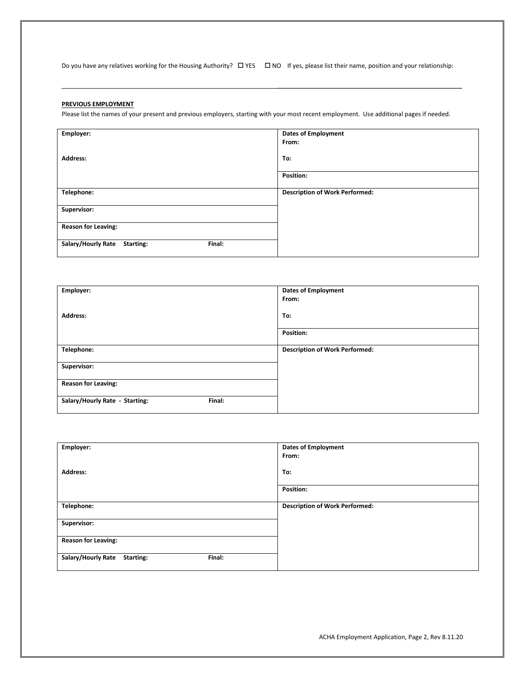Do you have any relatives working for the Housing Authority?  $\Box$  YES  $\Box$  NO If yes, please list their name, position and your relationship:

\_\_\_\_\_\_\_\_\_\_\_\_\_\_\_\_\_\_\_\_\_\_\_\_\_\_\_\_\_\_\_\_\_\_\_\_\_\_\_\_\_\_\_\_\_\_\_\_\_\_\_\_\_\_

#### **PREVIOUS EMPLOYMENT**

Please list the names of your present and previous employers, starting with your most recent employment. Use additional pages if needed.

| Employer:                                 | <b>Dates of Employment</b><br>From:   |
|-------------------------------------------|---------------------------------------|
| <b>Address:</b>                           | To:                                   |
|                                           | Position:                             |
| Telephone:                                | <b>Description of Work Performed:</b> |
| Supervisor:                               |                                       |
| <b>Reason for Leaving:</b>                |                                       |
| Salary/Hourly Rate<br>Final:<br>Starting: |                                       |

| Employer:                                | <b>Dates of Employment</b><br>From:   |
|------------------------------------------|---------------------------------------|
| <b>Address:</b>                          | To:                                   |
|                                          | <b>Position:</b>                      |
| Telephone:                               | <b>Description of Work Performed:</b> |
| Supervisor:                              |                                       |
| <b>Reason for Leaving:</b>               |                                       |
| Salary/Hourly Rate - Starting:<br>Final: |                                       |

| Employer:                                 | <b>Dates of Employment</b><br>From:   |
|-------------------------------------------|---------------------------------------|
| <b>Address:</b>                           | To:                                   |
|                                           | Position:                             |
| Telephone:                                | <b>Description of Work Performed:</b> |
| Supervisor:                               |                                       |
| <b>Reason for Leaving:</b>                |                                       |
| Salary/Hourly Rate<br>Final:<br>Starting: |                                       |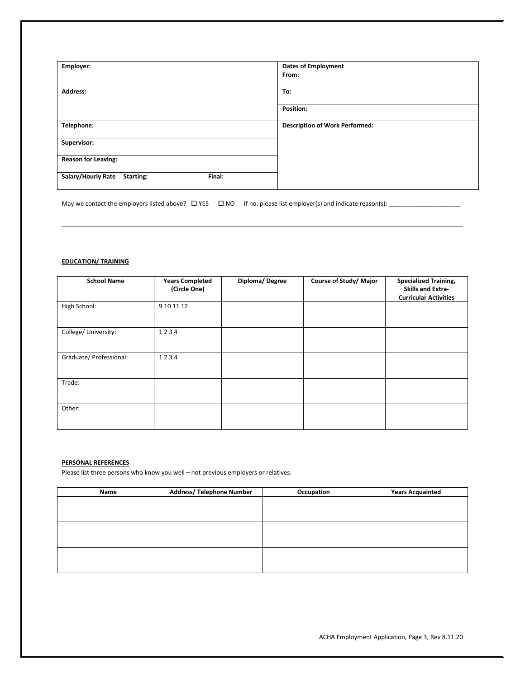| Employer:                                 | <b>Dates of Employment</b><br>From:   |
|-------------------------------------------|---------------------------------------|
| Address:                                  | To:                                   |
|                                           | Position:                             |
| Telephone:                                | <b>Description of Work Performed:</b> |
| Supervisor:                               |                                       |
| <b>Reason for Leaving:</b>                |                                       |
| Salary/Hourly Rate<br>Final:<br>Starting: |                                       |

May we contact the employers listed above? YES NO If no, please list employer(s) and indicate reason(s): \_\_\_\_\_\_\_\_\_\_\_\_\_\_\_\_\_\_\_\_\_

### **EDUCATION/ TRAINING**

| <b>School Name</b>      | <b>Years Completed</b><br>(Circle One) | Diploma/Degree | Course of Study/ Major | <b>Specialized Training,</b><br><b>Skills and Extra-</b><br><b>Curricular Activities</b> |
|-------------------------|----------------------------------------|----------------|------------------------|------------------------------------------------------------------------------------------|
| High School:            | 9 10 11 12                             |                |                        |                                                                                          |
| College/ University:    | 1234                                   |                |                        |                                                                                          |
| Graduate/ Professional: | 1234                                   |                |                        |                                                                                          |
| Trade:                  |                                        |                |                        |                                                                                          |
| Other:                  |                                        |                |                        |                                                                                          |

### **PERSONAL REFERENCES**

Please list three persons who know you well – not previous employers or relatives.

| Name | <b>Address/ Telephone Number</b> | Occupation | <b>Years Acquainted</b> |
|------|----------------------------------|------------|-------------------------|
|      |                                  |            |                         |
|      |                                  |            |                         |
|      |                                  |            |                         |
|      |                                  |            |                         |
|      |                                  |            |                         |
|      |                                  |            |                         |
|      |                                  |            |                         |
|      |                                  |            |                         |
|      |                                  |            |                         |